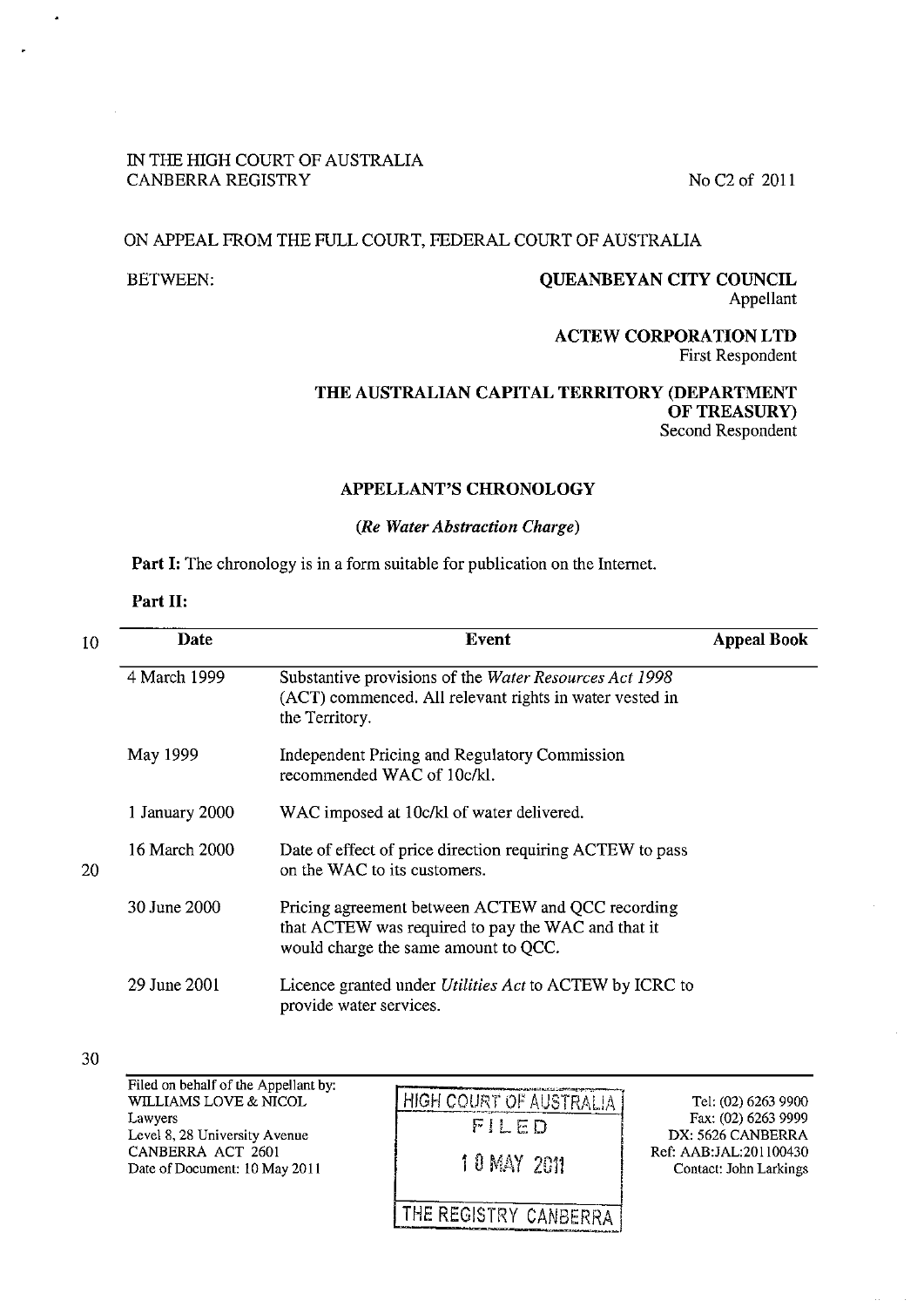# IN THE HIGH COURT OF AUSTRALIA CANBERRA REGISTRY No C2 of 2011

## ON APPEAL FROM THE FULL COURT, FEDERAL COURT OF AUSTRALIA

# BETWEEN: QUEANBEYAN CITY COUNCIL Appellant

# ACTEW CORPORATION LTD First Respondent

# THE AUSTRALIAN CAPITAL TERRITORY (DEPARTMENT OF TREASURY) Second Respondent

### APPELLANT'S CHRONOLOGY

# *(Re Water Abstraction Charge)*

Part I: The chronology is in a form suitable for publication on the Internet.

#### Part II:

| 10 | <b>Date</b>    | Event                                                                                                                                           | <b>Appeal Book</b> |
|----|----------------|-------------------------------------------------------------------------------------------------------------------------------------------------|--------------------|
|    | 4 March 1999   | Substantive provisions of the Water Resources Act 1998<br>(ACT) commenced. All relevant rights in water vested in<br>the Territory.             |                    |
|    | May 1999       | Independent Pricing and Regulatory Commission<br>recommended WAC of 10c/kl.                                                                     |                    |
|    | 1 January 2000 | WAC imposed at 10c/kl of water delivered.                                                                                                       |                    |
| 20 | 16 March 2000  | Date of effect of price direction requiring ACTEW to pass<br>on the WAC to its customers.                                                       |                    |
|    | 30 June 2000   | Pricing agreement between ACTEW and QCC recording<br>that ACTEW was required to pay the WAC and that it<br>would charge the same amount to QCC. |                    |
|    | 29 June 2001   | Licence granted under <i>Utilities Act</i> to ACTEW by ICRC to<br>provide water services.                                                       |                    |

<sup>30</sup> 

Filed on behalf of the Appellant by: WILLIAMS LOVE & NICOL Lawyers Level 8, 28 University Avenue CANBERRA ACT 2601 Date of Document: 10 May 2011

HIGH COURT OF AUSTRALIA **FILED** 1 0 MAY 2011

Tel: (02) 6263 9900 Fax: (02) 6263 9999 DX: 5626 CANBERRA Ref: AAB:JAL:201 100430 Contact: John Larkings

THE REGISTRY CANBERRA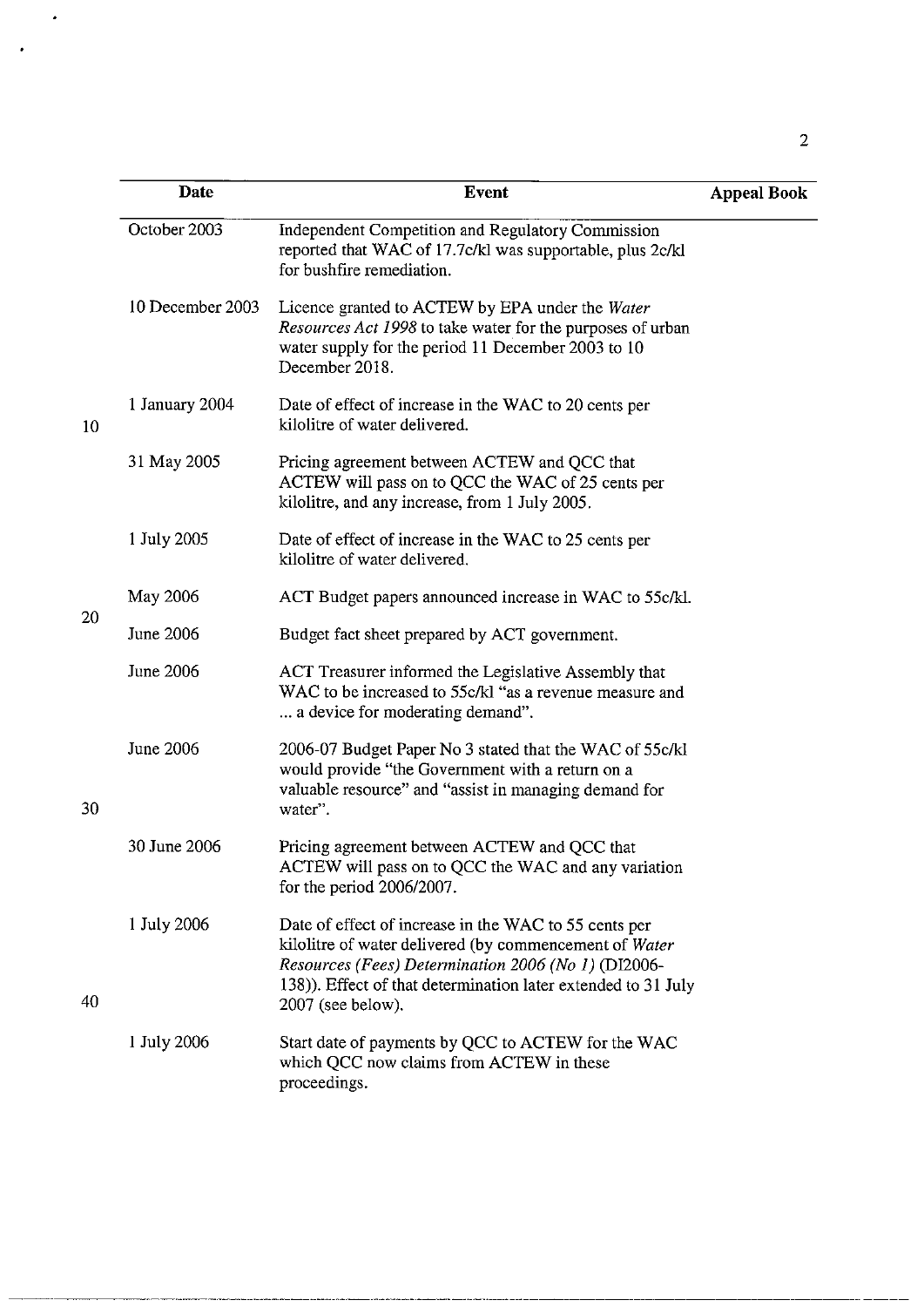|    | Date             | <b>Event</b>                                                                                                                                                                                                                                                 | <b>Appeal Book</b> |
|----|------------------|--------------------------------------------------------------------------------------------------------------------------------------------------------------------------------------------------------------------------------------------------------------|--------------------|
|    | October 2003     | Independent Competition and Regulatory Commission<br>reported that WAC of 17.7c/kl was supportable, plus 2c/kl<br>for bushfire remediation.                                                                                                                  |                    |
|    | 10 December 2003 | Licence granted to ACTEW by EPA under the Water<br>Resources Act 1998 to take water for the purposes of urban<br>water supply for the period 11 December 2003 to 10<br>December 2018.                                                                        |                    |
| 10 | 1 January 2004   | Date of effect of increase in the WAC to 20 cents per<br>kilolitre of water delivered.                                                                                                                                                                       |                    |
|    | 31 May 2005      | Pricing agreement between ACTEW and QCC that<br>ACTEW will pass on to QCC the WAC of 25 cents per<br>kilolitre, and any increase, from 1 July 2005.                                                                                                          |                    |
|    | 1 July 2005      | Date of effect of increase in the WAC to 25 cents per<br>kilolitre of water delivered.                                                                                                                                                                       |                    |
|    | May 2006         | ACT Budget papers announced increase in WAC to 55c/kl.                                                                                                                                                                                                       |                    |
| 20 | <b>June 2006</b> | Budget fact sheet prepared by ACT government.                                                                                                                                                                                                                |                    |
|    | June 2006        | ACT Treasurer informed the Legislative Assembly that<br>WAC to be increased to 55c/kl "as a revenue measure and<br>a device for moderating demand".                                                                                                          |                    |
| 30 | June 2006        | 2006-07 Budget Paper No 3 stated that the WAC of 55c/kl<br>would provide "the Government with a return on a<br>valuable resource" and "assist in managing demand for<br>water".                                                                              |                    |
|    | 30 June 2006     | Pricing agreement between ACTEW and QCC that<br>ACTEW will pass on to QCC the WAC and any variation<br>for the period 2006/2007.                                                                                                                             |                    |
| 40 | 1 July 2006      | Date of effect of increase in the WAC to 55 cents per<br>kilolitre of water delivered (by commencement of Water<br>Resources (Fees) Determination 2006 (No 1) (DI2006-<br>138)). Effect of that determination later extended to 31 July<br>2007 (see below). |                    |
|    | 1 July 2006      | Start date of payments by QCC to ACTEW for the WAC<br>which QCC now claims from ACTEW in these<br>proceedings.                                                                                                                                               |                    |

 $\cdot$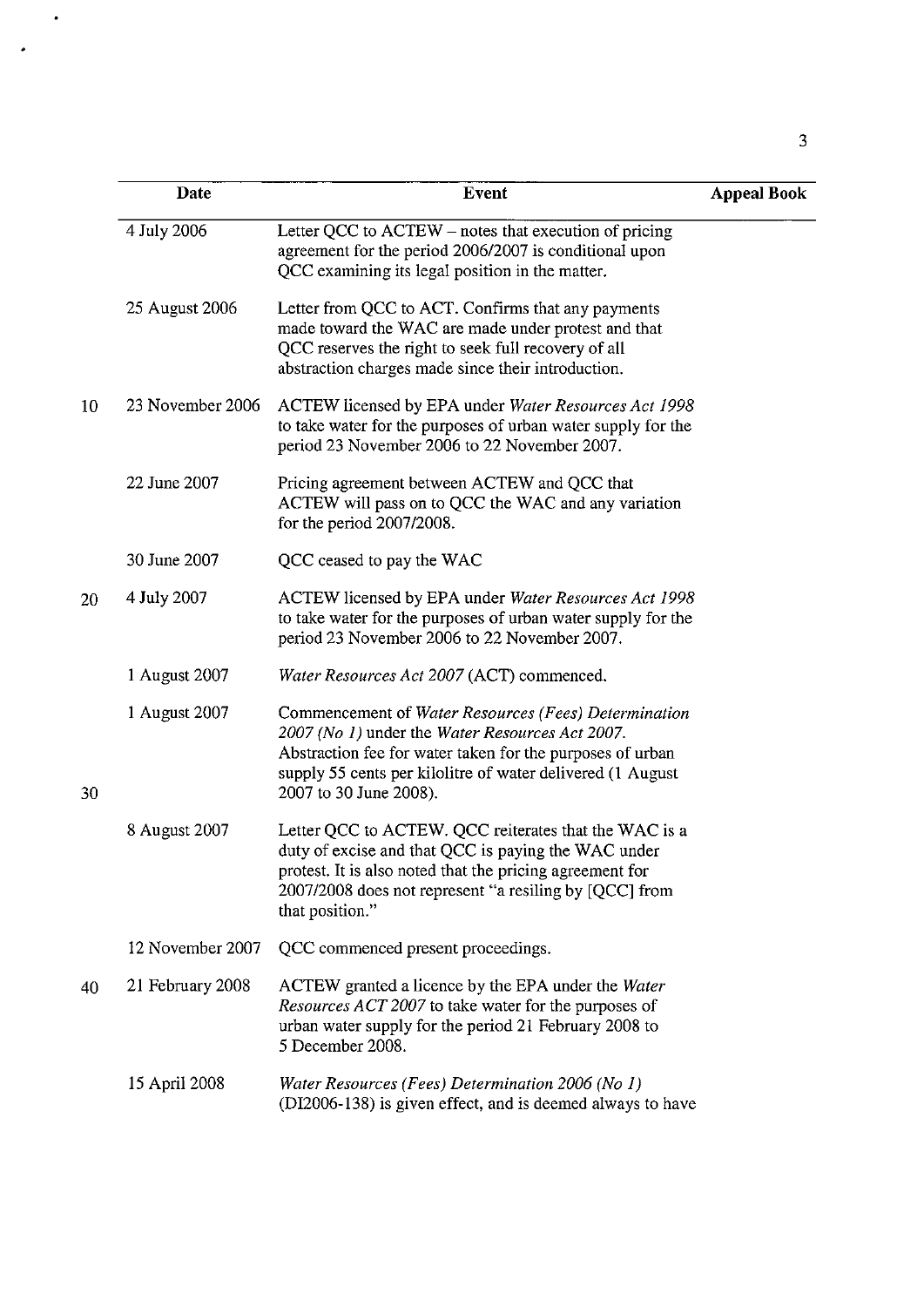|    | Date             | <b>Event</b>                                                                                                                                                                                                                                                 | <b>Appeal Book</b> |
|----|------------------|--------------------------------------------------------------------------------------------------------------------------------------------------------------------------------------------------------------------------------------------------------------|--------------------|
|    | 4 July 2006      | Letter QCC to ACTEW – notes that execution of pricing<br>agreement for the period 2006/2007 is conditional upon<br>QCC examining its legal position in the matter.                                                                                           |                    |
|    | 25 August 2006   | Letter from QCC to ACT. Confirms that any payments<br>made toward the WAC are made under protest and that<br>QCC reserves the right to seek full recovery of all<br>abstraction charges made since their introduction.                                       |                    |
| 10 | 23 November 2006 | ACTEW licensed by EPA under Water Resources Act 1998<br>to take water for the purposes of urban water supply for the<br>period 23 November 2006 to 22 November 2007.                                                                                         |                    |
|    | 22 June 2007     | Pricing agreement between ACTEW and QCC that<br>ACTEW will pass on to QCC the WAC and any variation<br>for the period $2007/2008$ .                                                                                                                          |                    |
|    | 30 June 2007     | QCC ceased to pay the WAC                                                                                                                                                                                                                                    |                    |
| 20 | 4 July 2007      | ACTEW licensed by EPA under Water Resources Act 1998<br>to take water for the purposes of urban water supply for the<br>period 23 November 2006 to 22 November 2007.                                                                                         |                    |
|    | 1 August 2007    | Water Resources Act 2007 (ACT) commenced.                                                                                                                                                                                                                    |                    |
| 30 | 1 August 2007    | Commencement of Water Resources (Fees) Determination<br>2007 (No 1) under the Water Resources Act 2007.<br>Abstraction fee for water taken for the purposes of urban<br>supply 55 cents per kilolitre of water delivered (1 August<br>2007 to 30 June 2008). |                    |
|    | 8 August 2007    | Letter QCC to ACTEW. QCC reiterates that the WAC is a<br>duty of excise and that QCC is paying the WAC under<br>protest. It is also noted that the pricing agreement for<br>2007/2008 does not represent "a resiling by [QCC] from<br>that position."        |                    |
|    | 12 November 2007 | QCC commenced present proceedings.                                                                                                                                                                                                                           |                    |
| 40 | 21 February 2008 | ACTEW granted a licence by the EPA under the Water<br>Resources ACT 2007 to take water for the purposes of<br>urban water supply for the period 21 February 2008 to<br>5 December 2008.                                                                      |                    |
|    | 15 April 2008    | Water Resources (Fees) Determination 2006 (No 1)<br>(DI2006-138) is given effect, and is deemed always to have                                                                                                                                               |                    |

 $\ddot{\phantom{0}}$ 

 $\ddot{\phantom{0}}$